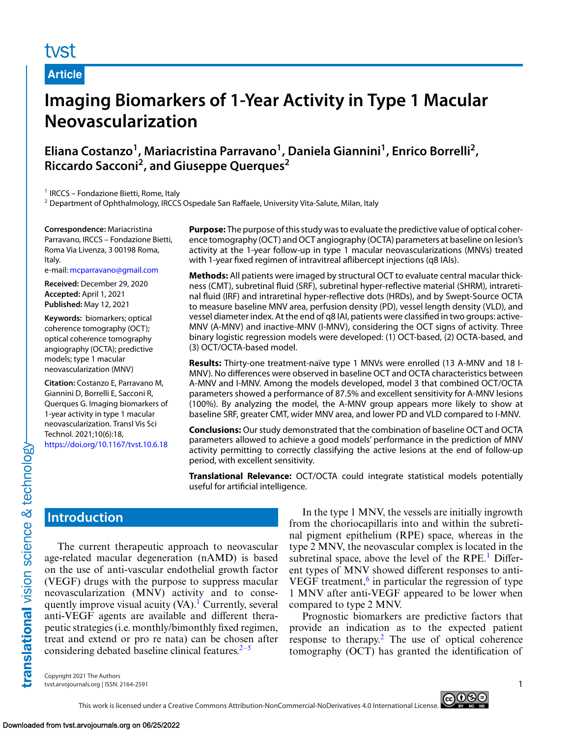## tyst

**Article**

# **Imaging Biomarkers of 1-Year Activity in Type 1 Macular Neovascularization**

**Eliana Costanzo1, Mariacristina Parravano1, Daniela Giannini1, Enrico Borrelli2, Riccardo Sacconi2, and Giuseppe Querques2**

<sup>1</sup> IRCCS – Fondazione Bietti, Rome, Italy

<sup>2</sup> Department of Ophthalmology, IRCCS Ospedale San Raffaele, University Vita-Salute, Milan, Italy

**Correspondence:** Mariacristina Parravano, IRCCS – Fondazione Bietti, Roma Via Livenza, 3 00198 Roma, Italy.

e-mail: [mcparravano@gmail.com](mailto:mcparravano@gmail.com)

**Received:** December 29, 2020 **Accepted:** April 1, 2021 **Published:** May 12, 2021

**Keywords:** biomarkers; optical coherence tomography (OCT); optical coherence tomography angiography (OCTA); predictive models; type 1 macular neovascularization (MNV)

**Citation:** Costanzo E, Parravano M, Giannini D, Borrelli E, Sacconi R, Querques G. Imaging biomarkers of 1-year activity in type 1 macular neovascularization. Transl Vis Sci Technol. 2021;10(6):18, <https://doi.org/10.1167/tvst.10.6.18>

**Purpose:** The purpose of this study was to evaluate the predictive value of optical coherence tomography (OCT) and OCT angiography (OCTA) parameters at baseline on lesion's activity at the 1-year follow-up in type 1 macular neovascularizations (MNVs) treated with 1-year fixed regimen of intravitreal aflibercept injections (q8 IAIs).

**Methods:** All patients were imaged by structural OCT to evaluate central macular thickness (CMT), subretinal fluid (SRF), subretinal hyper-reflective material (SHRM), intraretinal fluid (IRF) and intraretinal hyper-reflective dots (HRDs), and by Swept-Source OCTA to measure baseline MNV area, perfusion density (PD), vessel length density (VLD), and vessel diameter index. At the end of q8 IAI, patients were classified in two groups: active-MNV (A-MNV) and inactive-MNV (I-MNV), considering the OCT signs of activity. Three binary logistic regression models were developed: (1) OCT-based, (2) OCTA-based, and (3) OCT/OCTA-based model.

**Results:** Thirty-one treatment-naïve type 1 MNVs were enrolled (13 A-MNV and 18 I-MNV). No differences were observed in baseline OCT and OCTA characteristics between A-MNV and I-MNV. Among the models developed, model 3 that combined OCT/OCTA parameters showed a performance of 87.5% and excellent sensitivity for A-MNV lesions (100%). By analyzing the model, the A-MNV group appears more likely to show at baseline SRF, greater CMT, wider MNV area, and lower PD and VLD compared to I-MNV.

**Conclusions:** Our study demonstrated that the combination of baseline OCT and OCTA parameters allowed to achieve a good models' performance in the prediction of MNV activity permitting to correctly classifying the active lesions at the end of follow-up period, with excellent sensitivity.

**Translational Relevance:** OCT/OCTA could integrate statistical models potentially useful for artificial intelligence.

## **Introduction**

translational vision science & technology-

The current therapeutic approach to neovascular age-related macular degeneration (nAMD) is based on the use of anti-vascular endothelial growth factor (VEGF) drugs with the purpose to suppress macular neovascularization (MNV) activity and to consequently improve visual acuity  $(VA)$ .<sup>[1](#page-6-0)</sup> Currently, several anti-VEGF agents are available and different therapeutic strategies (i.e. monthly/bimonthly fixed regimen, treat and extend or pro re nata) can be chosen after considering debated baseline clinical features. $2-5$  $2-5$ 

In the type 1 MNV, the vessels are initially ingrowth from the choriocapillaris into and within the subretinal pigment epithelium (RPE) space, whereas in the type 2 MNV, the neovascular complex is located in the subretinal space, above the level of the  $RPE<sup>1</sup>$  $RPE<sup>1</sup>$  $RPE<sup>1</sup>$  Different types of MNV showed different responses to antiVEGF treatmen[t,](#page-7-0) $6$  in particular the regression of type 1 MNV after anti-VEGF appeared to be lower when compared to type 2 MNV.

Prognostic biomarkers are predictive factors that provide an indication as to the expected patient response to therapy[.2](#page-6-0) The use of optical coherence tomography (OCT) has granted the identification of

Copyright 2021 The Authors tvst.arvojournals.org | ISSN: 2164-2591 1

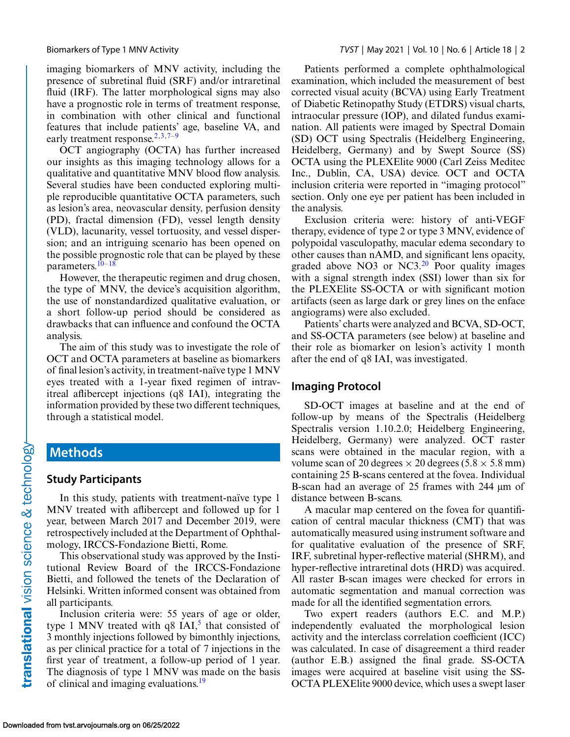imaging biomarkers of MNV activity, including the presence of subretinal fluid (SRF) and/or intraretinal fluid (IRF). The latter morphological signs may also have a prognostic role in terms of treatment response, in combination with other clinical and functional features that include patients' age, baseline VA, and early treatment response.<sup>[2,](#page-6-0)3,7-9</sup>

OCT angiography (OCTA) has further increased our insights as this imaging technology allows for a qualitative and quantitative MNV blood flow analysis. Several studies have been conducted exploring multiple reproducible quantitative OCTA parameters, such as lesion's area, neovascular density, perfusion density (PD), fractal dimension (FD), vessel length density (VLD), lacunarity, vessel tortuosity, and vessel dispersion; and an intriguing scenario has been opened on the possible prognostic role that can be played by these parameters[.10–18](#page-7-0)

However, the therapeutic regimen and drug chosen, the type of MNV, the device's acquisition algorithm, the use of nonstandardized qualitative evaluation, or a short follow-up period should be considered as drawbacks that can influence and confound the OCTA analysis.

The aim of this study was to investigate the role of OCT and OCTA parameters at baseline as biomarkers of final lesion's activity, in treatment-naïve type 1 MNV eyes treated with a 1-year fixed regimen of intravitreal aflibercept injections (q8 IAI), integrating the information provided by these two different techniques, through a statistical model.

## **Methods**

#### **Study Participants**

In this study, patients with treatment-naïve type 1 MNV treated with aflibercept and followed up for 1 year, between March 2017 and December 2019, were retrospectively included at the Department of Ophthalmology, IRCCS-Fondazione Bietti, Rome.

This observational study was approved by the Institutional Review Board of the IRCCS-Fondazione Bietti, and followed the tenets of the Declaration of Helsinki. Written informed consent was obtained from all participants.

Inclusion criteria were: 55 years of age or older, type 1 MNV treated with  $q8$  IAI,<sup>[5](#page-7-0)</sup> that consisted of 3 monthly injections followed by bimonthly injections, as per clinical practice for a total of 7 injections in the first year of treatment, a follow-up period of 1 year. The diagnosis of type 1 MNV was made on the basis of clinical and imaging evaluations.<sup>[19](#page-7-0)</sup>

Patients performed a complete ophthalmological examination, which included the measurement of best corrected visual acuity (BCVA) using Early Treatment of Diabetic Retinopathy Study (ETDRS) visual charts, intraocular pressure (IOP), and dilated fundus examination. All patients were imaged by Spectral Domain (SD) OCT using Spectralis (Heidelberg Engineering, Heidelberg, Germany) and by Swept Source (SS) OCTA using the PLEXElite 9000 (Carl Zeiss Meditec Inc., Dublin, CA, USA) device. OCT and OCTA inclusion criteria were reported in "imaging protocol" section. Only one eye per patient has been included in the analysis.

Exclusion criteria were: history of anti-VEGF therapy, evidence of type 2 or type 3 MNV, evidence of polypoidal vasculopathy, macular edema secondary to other causes than nAMD, and significant lens opacity, graded above  $NO3$  or  $NC3<sup>20</sup>$  $NC3<sup>20</sup>$  $NC3<sup>20</sup>$  Poor quality images with a signal strength index (SSI) lower than six for the PLEXElite SS-OCTA or with significant motion artifacts (seen as large dark or grey lines on the enface angiograms) were also excluded.

Patients' charts were analyzed and BCVA, SD-OCT, and SS-OCTA parameters (see below) at baseline and their role as biomarker on lesion's activity 1 month after the end of q8 IAI, was investigated.

#### **Imaging Protocol**

SD-OCT images at baseline and at the end of follow-up by means of the Spectralis (Heidelberg Spectralis version 1.10.2.0; Heidelberg Engineering, Heidelberg, Germany) were analyzed. OCT raster scans were obtained in the macular region, with a volume scan of 20 degrees  $\times$  20 degrees (5.8  $\times$  5.8 mm) containing 25 B-scans centered at the fovea. Individual B-scan had an average of 25 frames with 244 μm of distance between B-scans.

A macular map centered on the fovea for quantification of central macular thickness (CMT) that was automatically measured using instrument software and for qualitative evaluation of the presence of SRF, IRF, subretinal hyper-reflective material (SHRM), and hyper-reflective intraretinal dots (HRD) was acquired. All raster B-scan images were checked for errors in automatic segmentation and manual correction was made for all the identified segmentation errors.

Two expert readers (authors E.C. and M.P.) independently evaluated the morphological lesion activity and the interclass correlation coefficient (ICC) was calculated. In case of disagreement a third reader (author E.B.) assigned the final grade. SS-OCTA images were acquired at baseline visit using the SS-OCTA PLEXElite 9000 device, which uses a swept laser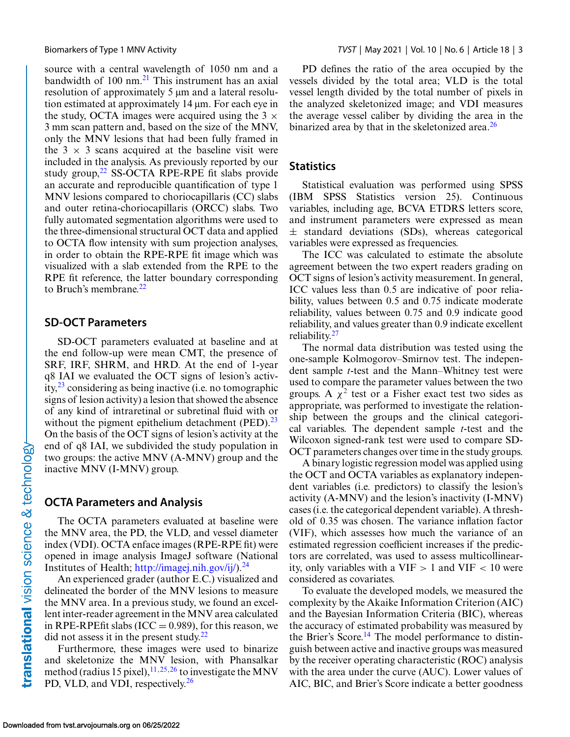source with a central wavelength of 1050 nm and a bandwidth of  $100 \text{ nm}$ <sup>[21](#page-7-0)</sup>. This instrument has an axial resolution of approximately 5 μm and a lateral resolution estimated at approximately 14 μm. For each eye in the study, OCTA images were acquired using the  $3 \times$ 3 mm scan pattern and, based on the size of the MNV, only the MNV lesions that had been fully framed in the  $3 \times 3$  scans acquired at the baseline visit were included in the analysis. As previously reported by our study group, $^{22}$  SS-OCTA RPE-RPE fit slabs provide an accurate and reproducible quantification of type 1 MNV lesions compared to choriocapillaris (CC) slabs and outer retina-choriocapillaris (ORCC) slabs. Two fully automated segmentation algorithms were used to the three-dimensional structural OCT data and applied to OCTA flow intensity with sum projection analyses, in order to obtain the RPE-RPE fit image which was visualized with a slab extended from the RPE to the RPE fit reference, the latter boundary corresponding to Bruch's membrane. $^{22}$ 

#### **SD-OCT Parameters**

SD-OCT parameters evaluated at baseline and at the end follow-up were mean CMT, the presence of SRF, IRF, SHRM, and HRD. At the end of 1-year q8 IAI we evaluated the OCT signs of lesion's activity,[23](#page-7-0) considering as being inactive (i.e. no tomographic signs of lesion activity) a lesion that showed the absence of any kind of intraretinal or subretinal fluid with or without the pigment epithelium detachment (PED). $^{23}$  $^{23}$  $^{23}$ On the basis of the OCT signs of lesion's activity at the end of q8 IAI, we subdivided the study population in two groups: the active MNV (A-MNV) group and the inactive MNV (I-MNV) group.

#### **OCTA Parameters and Analysis**

The OCTA parameters evaluated at baseline were the MNV area, the PD, the VLD, and vessel diameter index (VDI). OCTA enface images (RPE-RPE fit) were opened in image analysis ImageJ software (National Institutes of Health; [http://imagej.nih.gov/ij/\)](http://imagej.nih.gov/ij/).<sup>[24](#page-7-0)</sup>

An experienced grader (author E.C.) visualized and delineated the border of the MNV lesions to measure the MNV area. In a previous study, we found an excellent inter-reader agreement in the MNV area calculated in RPE-RPEfit slabs (ICC =  $0.989$ ), for this reason, we did not assess it in the present study. $22$ 

Furthermore, these images were used to binarize and skeletonize the MNV lesion, with Phansalkar method (radius 15 pixel),  $11,25,26$  $11,25,26$  to investigate the MNV PD, VLD, and VDI, respectively.<sup>26</sup>

PD defines the ratio of the area occupied by the vessels divided by the total area; VLD is the total vessel length divided by the total number of pixels in the analyzed skeletonized image; and VDI measures the average vessel caliber by dividing the area in the binarized area by that in the skeletonized area. $^{26}$ 

#### **Statistics**

Statistical evaluation was performed using SPSS (IBM SPSS Statistics version 25). Continuous variables, including age, BCVA ETDRS letters score, and instrument parameters were expressed as mean  $\pm$  standard deviations (SDs), whereas categorical variables were expressed as frequencies.

The ICC was calculated to estimate the absolute agreement between the two expert readers grading on OCT signs of lesion's activity measurement. In general, ICC values less than 0.5 are indicative of poor reliability, values between 0.5 and 0.75 indicate moderate reliability, values between 0.75 and 0.9 indicate good reliability, and values greater than 0.9 indicate excellent reliability. $27$ 

The normal data distribution was tested using the one-sample Kolmogorov–Smirnov test. The independent sample *t*-test and the Mann–Whitney test were used to compare the parameter values between the two groups. A  $\chi^2$  test or a Fisher exact test two sides as appropriate, was performed to investigate the relationship between the groups and the clinical categorical variables. The dependent sample *t*-test and the Wilcoxon signed-rank test were used to compare SD-OCT parameters changes over time in the study groups.

A binary logistic regression model was applied using the OCT and OCTA variables as explanatory independent variables (i.e. predictors) to classify the lesion's activity (A-MNV) and the lesion's inactivity (I-MNV) cases (i.e. the categorical dependent variable). A threshold of 0.35 was chosen. The variance inflation factor (VIF), which assesses how much the variance of an estimated regression coefficient increases if the predictors are correlated, was used to assess multicollinearity, only variables with a VIF  $> 1$  and VIF  $< 10$  were considered as covariates.

To evaluate the developed models, we measured the complexity by the Akaike Information Criterion (AIC) and the Bayesian Information Criteria (BIC), whereas the accuracy of estimated probability was measured by the Brier's Score.<sup>[14](#page-7-0)</sup> The model performance to distinguish between active and inactive groups was measured by the receiver operating characteristic (ROC) analysis with the area under the curve (AUC). Lower values of AIC, BIC, and Brier's Score indicate a better goodness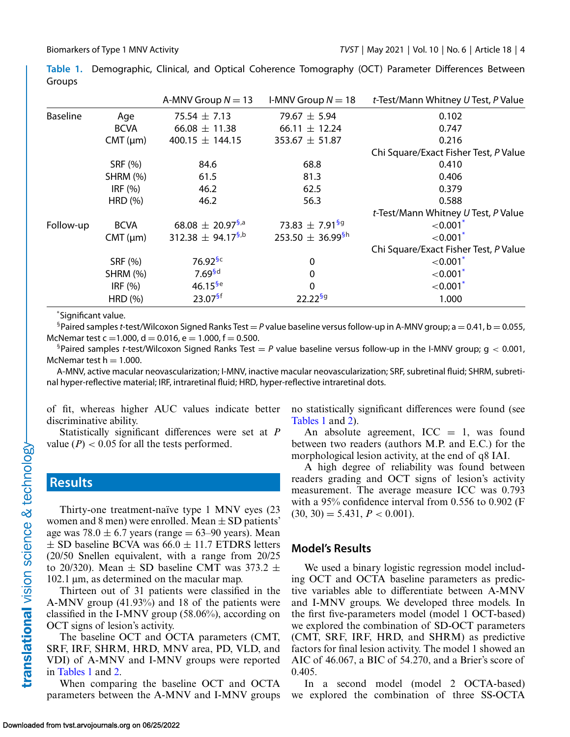**Table 1.** Demographic, Clinical, and Optical Coherence Tomography (OCT) Parameter Differences Between Groups

|                 |                 | A-MNV Group $N = 13$              | I-MNV Group $N = 18$              | t-Test/Mann Whitney U Test, P Value   |
|-----------------|-----------------|-----------------------------------|-----------------------------------|---------------------------------------|
| <b>Baseline</b> | Age             | 75.54 $\pm$ 7.13                  | 79.67 $\pm$ 5.94                  | 0.102                                 |
|                 | <b>BCVA</b>     | 66.08 $\pm$ 11.38                 | 66.11 $\pm$ 12.24                 | 0.747                                 |
|                 | CMT (µm)        | 400.15 $\pm$ 144.15               | $353.67 \pm 51.87$                | 0.216                                 |
|                 |                 |                                   |                                   | Chi Square/Exact Fisher Test, P Value |
|                 | SRF (%)         | 84.6                              | 68.8                              | 0.410                                 |
|                 | <b>SHRM (%)</b> | 61.5                              | 81.3                              | 0.406                                 |
|                 | IRF $(%)$       | 46.2                              | 62.5                              | 0.379                                 |
|                 | HRD(%)          | 46.2                              | 56.3                              | 0.588                                 |
|                 |                 |                                   |                                   | t-Test/Mann Whitney U Test, P Value   |
| Follow-up       | <b>BCVA</b>     | $68.08 \pm 20.97^{5,a}$           | 73.83 $\pm$ 7.91 <sup>§9</sup>    | $< 0.001$ <sup>*</sup>                |
|                 | CMT (µm)        | 312.38 $\pm$ 94.17 <sup>§,b</sup> | 253.50 $\pm$ 36.99 <sup>\$h</sup> | ${<}0.001*$                           |
|                 |                 |                                   |                                   | Chi Square/Exact Fisher Test, P Value |
|                 | SRF (%)         | $76.92$ <sup>§c</sup>             | $\mathbf{0}$                      | ${<}0.001*$                           |
|                 | <b>SHRM (%)</b> | 7.69 <sup>5d</sup>                | 0                                 | $< 0.001$ <sup>*</sup>                |
|                 | IRF $(%)$       | $46.15^{6e}$                      | $\Omega$                          | ${<}0.001*$                           |
|                 | HRD(%)          | $23.07^{5f}$                      | $22.22^{6g}$                      | 1.000                                 |

\* Significant value.

<sup>§</sup>Paired samples *t*-test/Wilcoxon Signed Ranks Test = *P* value baseline versus follow-up in A-MNV group; a = 0.41, b = 0.055, McNemar test c = 1.000, d = 0.016, e = 1.000, f = 0.500.

<sup>§</sup>Paired samples *t*-test/Wilcoxon Signed Ranks Test  $P$  value baseline versus follow-up in the I-MNV group;  $q < 0.001$ , McNemar test  $h = 1.000$ .

A-MNV, active macular neovascularization; I-MNV, inactive macular neovascularization; SRF, subretinal fluid; SHRM, subretinal hyper-reflective material; IRF, intraretinal fluid; HRD, hyper-reflective intraretinal dots.

of fit, whereas higher AUC values indicate better discriminative ability.

Statistically significant differences were set at *P* value  $(P)$  < 0.05 for all the tests performed.

## **Results**

Thirty-one treatment-naïve type 1 MNV eyes (23 women and 8 men) were enrolled. Mean  $\pm$  SD patients' age was  $78.0 \pm 6.7$  years (range = 63–90 years). Mean  $\pm$  SD baseline BCVA was 66.0  $\pm$  11.7 ETDRS letters (20/50 Snellen equivalent, with a range from 20/25 to 20/320). Mean  $\pm$  SD baseline CMT was 373.2  $\pm$ 102.1 μm, as determined on the macular map.

Thirteen out of 31 patients were classified in the A-MNV group (41.93%) and 18 of the patients were classified in the I-MNV group (58.06%), according on OCT signs of lesion's activity.

The baseline OCT and OCTA parameters (CMT, SRF, IRF, SHRM, HRD, MNV area, PD, VLD, and VDI) of A-MNV and I-MNV groups were reported in Tables 1 and [2.](#page-4-0)

When comparing the baseline OCT and OCTA parameters between the A-MNV and I-MNV groups no statistically significant differences were found (see Tables 1 and [2\)](#page-4-0).

An absolute agreement,  $ICC = 1$ , was found between two readers (authors M.P. and E.C.) for the morphological lesion activity, at the end of q8 IAI.

A high degree of reliability was found between readers grading and OCT signs of lesion's activity measurement. The average measure ICC was 0.793 with a 95% confidence interval from 0.556 to 0.902 (F  $(30, 30) = 5.431, P < 0.001$ .

### **Model's Results**

We used a binary logistic regression model including OCT and OCTA baseline parameters as predictive variables able to differentiate between A-MNV and I-MNV groups. We developed three models. In the first five-parameters model (model 1 OCT-based) we explored the combination of SD-OCT parameters (CMT, SRF, IRF, HRD, and SHRM) as predictive factors for final lesion activity. The model 1 showed an AIC of 46.067, a BIC of 54.270, and a Brier's score of 0.405.

In a second model (model 2 OCTA-based) we explored the combination of three SS-OCTA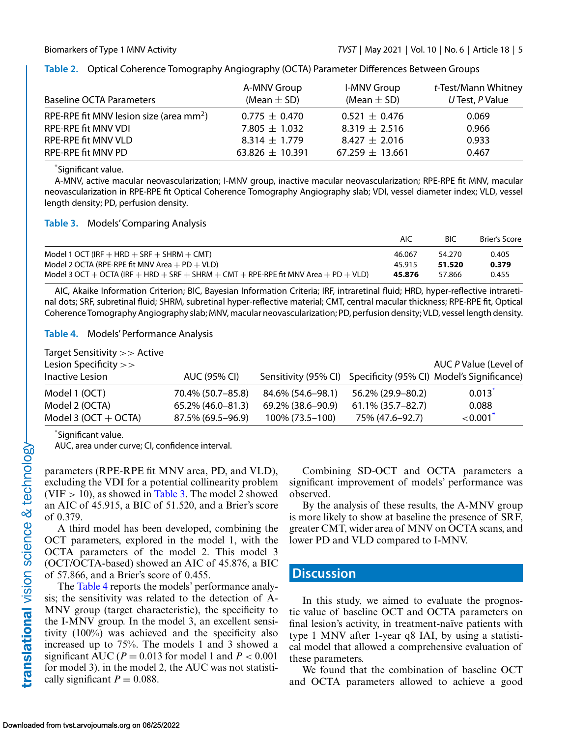| <b>Baseline OCTA Parameters</b>                     | A-MNV Group<br>(Mean $\pm$ SD) | <b>I-MNV Group</b><br>(Mean $\pm$ SD) | t-Test/Mann Whitney<br>$U$ Test, P Value |
|-----------------------------------------------------|--------------------------------|---------------------------------------|------------------------------------------|
| RPE-RPE fit MNV lesion size (area mm <sup>2</sup> ) | $0.775 \pm 0.470$              | $0.521 \pm 0.476$                     | 0.069                                    |
| <b>RPE-RPE fit MNV VDI</b>                          | 7.805 $\pm$ 1.032              | $8.319 \pm 2.516$                     | 0.966                                    |
| RPE-RPE fit MNV VLD                                 | $8.314 \pm 1.779$              | $8.427 \pm 2.016$                     | 0.933                                    |
| RPE-RPE fit MNV PD                                  | 63.826 $\pm$ 10.391            | $67.259 \pm 13.661$                   | 0.467                                    |

<span id="page-4-0"></span>**Table 2.** Optical Coherence Tomography Angiography (OCTA) Parameter Differences Between Groups

\* Significant value.

A-MNV, active macular neovascularization; I-MNV group, inactive macular neovascularization; RPE-RPE fit MNV, macular neovascularization in RPE-RPE fit Optical Coherence Tomography Angiography slab; VDI, vessel diameter index; VLD, vessel length density; PD, perfusion density.

| Table 3. |  | <b>Models' Comparing Analysis</b> |
|----------|--|-----------------------------------|
|----------|--|-----------------------------------|

|                                                                                     | AIC    | BIC    | Brier's Score |
|-------------------------------------------------------------------------------------|--------|--------|---------------|
| Model 1 OCT (IRF $+$ HRD $+$ SRF $+$ SHRM $+$ CMT)                                  | 46.067 | 54.270 | 0.405         |
| Model 2 OCTA (RPE-RPE fit MNV Area $+$ PD $+$ VLD)                                  | 45.915 | 51.520 | 0.379         |
| Model 3 OCT + OCTA (IRF + HRD + SRF + SHRM + CMT + RPE-RPE fit MNV Area + PD + VLD) | 45.876 | 57.866 | 0.455         |

AIC, Akaike Information Criterion; BIC, Bayesian Information Criteria; IRF, intraretinal fluid; HRD, hyper-reflective intraretinal dots; SRF, subretinal fluid; SHRM, subretinal hyper-reflective material; CMT, central macular thickness; RPE-RPE fit, Optical Coherence Tomography Angiography slab; MNV, macular neovascularization; PD, perfusion density; VLD, vessel length density.

**Table 4.** Models' Performance Analysis

| Target Sensitivity >> Active |                      |                   |                      |                                                                 |
|------------------------------|----------------------|-------------------|----------------------|-----------------------------------------------------------------|
| Lesion Specificity $>>$      |                      |                   |                      | AUC P Value (Level of                                           |
| Inactive Lesion              | AUC (95% CI)         |                   |                      | Sensitivity (95% CI) Specificity (95% CI) Model's Significance) |
| Model 1 (OCT)                | 70.4% (50.7-85.8)    | 84.6% (54.6–98.1) | 56.2% (29.9-80.2)    | $0.013*$                                                        |
| Model 2 (OCTA)               | $65.2\%$ (46.0-81.3) | 69.2% (38.6–90.9) | $61.1\%$ (35.7-82.7) | 0.088                                                           |
| Model 3 ( $OCT + OCTA$ )     | 87.5% (69.5–96.9)    | 100% (73.5-100)   | 75% (47.6-92.7)      | ${<}0.001*$                                                     |

\* Significant value.

AUC, area under curve; CI, confidence interval.

parameters (RPE-RPE fit MNV area, PD, and VLD), excluding the VDI for a potential collinearity problem (VIF  $>$  10), as showed in Table 3. The model 2 showed an AIC of 45.915, a BIC of 51.520, and a Brier's score of 0.379.

A third model has been developed, combining the OCT parameters, explored in the model 1, with the OCTA parameters of the model 2. This model 3 (OCT/OCTA-based) showed an AIC of 45.876, a BIC of 57.866, and a Brier's score of 0.455.

The Table 4 reports the models' performance analysis; the sensitivity was related to the detection of A-MNV group (target characteristic), the specificity to the I-MNV group. In the model 3, an excellent sensitivity (100%) was achieved and the specificity also increased up to 75%. The models 1 and 3 showed a significant AUC ( $P = 0.013$  for model 1 and  $P < 0.001$ for model 3), in the model 2, the AUC was not statistically significant  $P = 0.088$ .

Combining SD-OCT and OCTA parameters a significant improvement of models' performance was observed.

By the analysis of these results, the A-MNV group is more likely to show at baseline the presence of SRF, greater CMT, wider area of MNV on OCTA scans, and lower PD and VLD compared to I-MNV.

## **Discussion**

In this study, we aimed to evaluate the prognostic value of baseline OCT and OCTA parameters on final lesion's activity, in treatment-naïve patients with type 1 MNV after 1-year q8 IAI, by using a statistical model that allowed a comprehensive evaluation of these parameters.

We found that the combination of baseline OCT and OCTA parameters allowed to achieve a good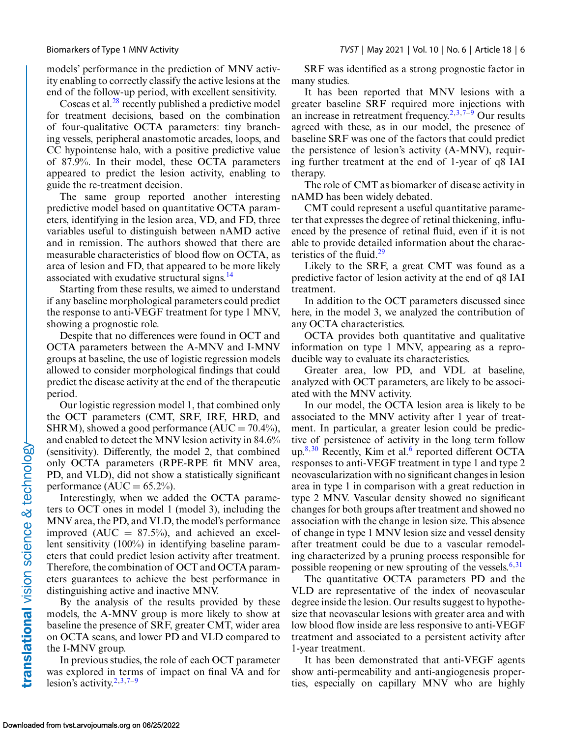models' performance in the prediction of MNV activity enabling to correctly classify the active lesions at the end of the follow-up period, with excellent sensitivity.

Coscas et al. $^{28}$  recently published a predictive model for treatment decisions, based on the combination of four-qualitative OCTA parameters: tiny branching vessels, peripheral anastomotic arcades, loops, and CC hypointense halo, with a positive predictive value of 87.9%. In their model, these OCTA parameters appeared to predict the lesion activity, enabling to guide the re-treatment decision.

The same group reported another interesting predictive model based on quantitative OCTA parameters, identifying in the lesion area, VD, and FD, three variables useful to distinguish between nAMD active and in remission. The authors showed that there are measurable characteristics of blood flow on OCTA, as area of lesion and FD, that appeared to be more likely associated with exudative structural signs. $14$ 

Starting from these results, we aimed to understand if any baseline morphological parameters could predict the response to anti-VEGF treatment for type 1 MNV, showing a prognostic role.

Despite that no differences were found in OCT and OCTA parameters between the A-MNV and I-MNV groups at baseline, the use of logistic regression models allowed to consider morphological findings that could predict the disease activity at the end of the therapeutic period.

Our logistic regression model 1, that combined only the OCT parameters (CMT, SRF, IRF, HRD, and SHRM), showed a good performance  $(AUC = 70.4\%)$ , and enabled to detect the MNV lesion activity in 84.6% (sensitivity). Differently, the model 2, that combined only OCTA parameters (RPE-RPE fit MNV area, PD, and VLD), did not show a statistically significant performance (AUC =  $65.2\%$ ).

Interestingly, when we added the OCTA parameters to OCT ones in model 1 (model 3), including the MNV area, the PD, and VLD, the model's performance improved (AUC  $= 87.5\%$ ), and achieved an excellent sensitivity (100%) in identifying baseline parameters that could predict lesion activity after treatment. Therefore, the combination of OCT and OCTA parameters guarantees to achieve the best performance in distinguishing active and inactive MNV.

By the analysis of the results provided by these models, the A-MNV group is more likely to show at baseline the presence of SRF, greater CMT, wider area on OCTA scans, and lower PD and VLD compared to the I-MNV group.

In previous studies, the role of each OCT parameter was explored in terms of impact on final VA and for lesion's activity.<sup>2,[3,7–9](#page-7-0)</sup>

SRF was identified as a strong prognostic factor in many studies.

It has been reported that MNV lesions with a greater baseline SRF required more injections with an increase in retreatment frequency.<sup>2[,3,7–9](#page-7-0)</sup> Our results agreed with these, as in our model, the presence of baseline SRF was one of the factors that could predict the persistence of lesion's activity (A-MNV), requiring further treatment at the end of 1-year of q8 IAI therapy.

The role of CMT as biomarker of disease activity in nAMD has been widely debated.

CMT could represent a useful quantitative parameter that expresses the degree of retinal thickening, influenced by the presence of retinal fluid, even if it is not able to provide detailed information about the characteristics of the fluid. $29$ 

Likely to the SRF, a great CMT was found as a predictive factor of lesion activity at the end of q8 IAI treatment.

In addition to the OCT parameters discussed since here, in the model 3, we analyzed the contribution of any OCTA characteristics.

OCTA provides both quantitative and qualitative information on type 1 MNV, appearing as a reproducible way to evaluate its characteristics.

Greater area, low PD, and VDL at baseline, analyzed with OCT parameters, are likely to be associated with the MNV activity.

In our model, the OCTA lesion area is likely to be associated to the MNV activity after 1 year of treatment. In particular, a greater lesion could be predictive of persistence of activity in the long term follow up. $8,30$  $8,30$  Recently, Kim et al.<sup>[6](#page-7-0)</sup> reported different OCTA responses to anti-VEGF treatment in type 1 and type 2 neovascularization with no significant changes in lesion area in type 1 in comparison with a great reduction in type 2 MNV. Vascular density showed no significant changes for both groups after treatment and showed no association with the change in lesion size. This absence of change in type 1 MNV lesion size and vessel density after treatment could be due to a vascular remodeling characterized by a pruning process responsible for possible reopening or new sprouting of the vessels. $6,31$  $6,31$ 

The quantitative OCTA parameters PD and the VLD are representative of the index of neovascular degree inside the lesion. Our results suggest to hypothesize that neovascular lesions with greater area and with low blood flow inside are less responsive to anti-VEGF treatment and associated to a persistent activity after 1-year treatment.

It has been demonstrated that anti-VEGF agents show anti-permeability and anti-angiogenesis properties, especially on capillary MNV who are highly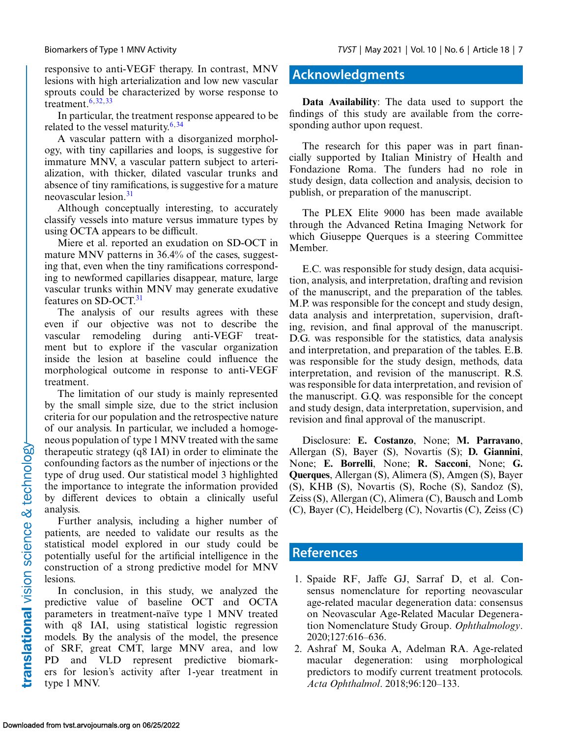<span id="page-6-0"></span>responsive to anti-VEGF therapy. In contrast, MNV lesions with high arterialization and low new vascular sprouts could be characterized by worse response to treatment.[6,](#page-7-0)[32,33](#page-8-0)

In particular, the treatment response appeared to be related to the vessel maturity. $6,34$  $6,34$ 

A vascular pattern with a disorganized morphology, with tiny capillaries and loops, is suggestive for immature MNV, a vascular pattern subject to arterialization, with thicker, dilated vascular trunks and absence of tiny ramifications, is suggestive for a mature neovascular lesion.[31](#page-8-0)

Although conceptually interesting, to accurately classify vessels into mature versus immature types by using OCTA appears to be difficult.

Miere et al. reported an exudation on SD-OCT in mature MNV patterns in 36.4% of the cases, suggesting that, even when the tiny ramifications corresponding to newformed capillaries disappear, mature, large vascular trunks within MNV may generate exudative features on SD-OCT.<sup>31</sup>

The analysis of our results agrees with these even if our objective was not to describe the vascular remodeling during anti-VEGF treatment but to explore if the vascular organization inside the lesion at baseline could influence the morphological outcome in response to anti-VEGF treatment.

The limitation of our study is mainly represented by the small simple size, due to the strict inclusion criteria for our population and the retrospective nature of our analysis. In particular, we included a homogeneous population of type 1 MNV treated with the same therapeutic strategy (q8 IAI) in order to eliminate the confounding factors as the number of injections or the type of drug used. Our statistical model 3 highlighted the importance to integrate the information provided by different devices to obtain a clinically useful analysis.

Further analysis, including a higher number of patients, are needed to validate our results as the statistical model explored in our study could be potentially useful for the artificial intelligence in the construction of a strong predictive model for MNV lesions.

In conclusion, in this study, we analyzed the predictive value of baseline OCT and OCTA parameters in treatment-naïve type 1 MNV treated with q8 IAI, using statistical logistic regression models. By the analysis of the model, the presence of SRF, great CMT, large MNV area, and low PD and VLD represent predictive biomarkers for lesion's activity after 1-year treatment in type 1 MNV.

## **Acknowledgments**

**Data Availability**: The data used to support the findings of this study are available from the corresponding author upon request.

The research for this paper was in part financially supported by Italian Ministry of Health and Fondazione Roma. The funders had no role in study design, data collection and analysis, decision to publish, or preparation of the manuscript.

The PLEX Elite 9000 has been made available through the Advanced Retina Imaging Network for which Giuseppe Querques is a steering Committee Member.

E.C. was responsible for study design, data acquisition, analysis, and interpretation, drafting and revision of the manuscript, and the preparation of the tables. M.P. was responsible for the concept and study design, data analysis and interpretation, supervision, drafting, revision, and final approval of the manuscript. D.G. was responsible for the statistics, data analysis and interpretation, and preparation of the tables. E.B. was responsible for the study design, methods, data interpretation, and revision of the manuscript. R.S. was responsible for data interpretation, and revision of the manuscript. G.Q. was responsible for the concept and study design, data interpretation, supervision, and revision and final approval of the manuscript.

Disclosure: **E. Costanzo**, None; **M. Parravano**, Allergan (S), Bayer (S), Novartis (S); **D. Giannini**, None; **E. Borrelli**, None; **R. Sacconi**, None; **G. Querques**, Allergan (S), Alimera (S), Amgen (S), Bayer (S), KHB (S), Novartis (S), Roche (S), Sandoz (S), Zeiss (S), Allergan (C), Alimera (C), Bausch and Lomb (C), Bayer (C), Heidelberg (C), Novartis (C), Zeiss (C)

## **References**

- 1. Spaide RF, Jaffe GJ, Sarraf D, et al. Consensus nomenclature for reporting neovascular age-related macular degeneration data: consensus on Neovascular Age-Related Macular Degeneration Nomenclature Study Group. *Ophthalmology*. 2020;127:616–636.
- 2. Ashraf M, Souka A, Adelman RA. Age-related macular degeneration: using morphological predictors to modify current treatment protocols. *Acta Ophthalmol*. 2018;96:120–133.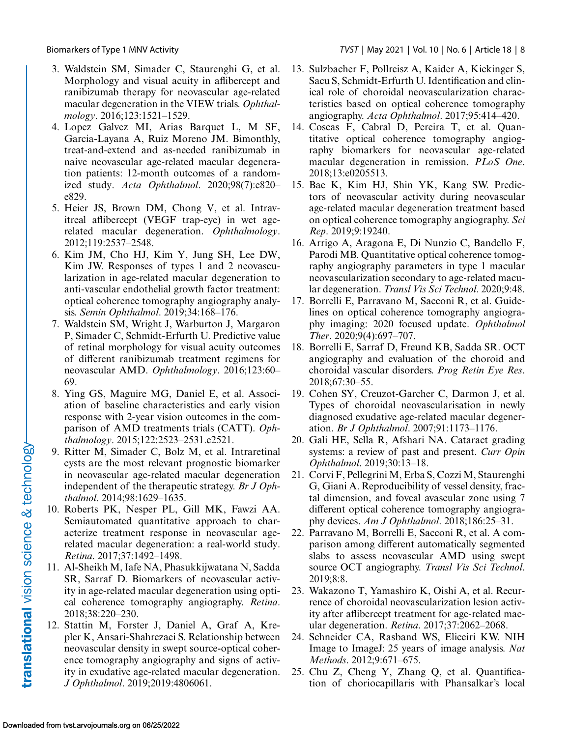- <span id="page-7-0"></span>3. Waldstein SM, Simader C, Staurenghi G, et al. Morphology and visual acuity in aflibercept and ranibizumab therapy for neovascular age-related macular degeneration in the VIEW trials. *Ophthalmology*. 2016;123:1521–1529.
- 4. Lopez Galvez MI, Arias Barquet L, M SF, Garcia-Layana A, Ruiz Moreno JM. Bimonthly, treat-and-extend and as-needed ranibizumab in naive neovascular age-related macular degeneration patients: 12-month outcomes of a randomized study. *Acta Ophthalmol*. 2020;98(7):e820– e829.
- 5. Heier JS, Brown DM, Chong V, et al. Intravitreal aflibercept (VEGF trap-eye) in wet agerelated macular degeneration. *Ophthalmology*. 2012;119:2537–2548.
- 6. Kim JM, Cho HJ, Kim Y, Jung SH, Lee DW, Kim JW. Responses of types 1 and 2 neovascularization in age-related macular degeneration to anti-vascular endothelial growth factor treatment: optical coherence tomography angiography analysis. *Semin Ophthalmol*. 2019;34:168–176.
- 7. Waldstein SM, Wright J, Warburton J, Margaron P, Simader C, Schmidt-Erfurth U. Predictive value of retinal morphology for visual acuity outcomes of different ranibizumab treatment regimens for neovascular AMD. *Ophthalmology*. 2016;123:60– 69.
- 8. Ying GS, Maguire MG, Daniel E, et al. Association of baseline characteristics and early vision response with 2-year vision outcomes in the comparison of AMD treatments trials (CATT). *Ophthalmology*. 2015;122:2523–2531.e2521.
- 9. Ritter M, Simader C, Bolz M, et al. Intraretinal cysts are the most relevant prognostic biomarker in neovascular age-related macular degeneration independent of the therapeutic strategy. *Br J Ophthalmol*. 2014;98:1629–1635.
- 10. Roberts PK, Nesper PL, Gill MK, Fawzi AA. Semiautomated quantitative approach to characterize treatment response in neovascular agerelated macular degeneration: a real-world study. *Retina*. 2017;37:1492–1498.
- 11. Al-Sheikh M, Iafe NA, Phasukkijwatana N, Sadda SR, Sarraf D. Biomarkers of neovascular activity in age-related macular degeneration using optical coherence tomography angiography. *Retina*. 2018;38:220–230.
- 12. Stattin M, Forster J, Daniel A, Graf A, Krepler K, Ansari-Shahrezaei S. Relationship between neovascular density in swept source-optical coherence tomography angiography and signs of activity in exudative age-related macular degeneration. *J Ophthalmol*. 2019;2019:4806061.
- 13. Sulzbacher F, Pollreisz A, Kaider A, Kickinger S, Sacu S, Schmidt-Erfurth U. Identification and clinical role of choroidal neovascularization characteristics based on optical coherence tomography angiography. *Acta Ophthalmol*. 2017;95:414–420.
- 14. Coscas F, Cabral D, Pereira T, et al. Quantitative optical coherence tomography angiography biomarkers for neovascular age-related macular degeneration in remission. *PLoS One*. 2018;13:e0205513.
- 15. Bae K, Kim HJ, Shin YK, Kang SW. Predictors of neovascular activity during neovascular age-related macular degeneration treatment based on optical coherence tomography angiography. *Sci Rep*. 2019;9:19240.
- 16. Arrigo A, Aragona E, Di Nunzio C, Bandello F, Parodi MB. Quantitative optical coherence tomography angiography parameters in type 1 macular neovascularization secondary to age-related macular degeneration. *Transl Vis Sci Technol*. 2020;9:48.
- 17. Borrelli E, Parravano M, Sacconi R, et al. Guidelines on optical coherence tomography angiography imaging: 2020 focused update. *Ophthalmol Ther*. 2020;9(4):697–707.
- 18. Borrelli E, Sarraf D, Freund KB, Sadda SR. OCT angiography and evaluation of the choroid and choroidal vascular disorders. *Prog Retin Eye Res*. 2018;67:30–55.
- 19. Cohen SY, Creuzot-Garcher C, Darmon J, et al. Types of choroidal neovascularisation in newly diagnosed exudative age-related macular degeneration. *Br J Ophthalmol*. 2007;91:1173–1176.
- 20. Gali HE, Sella R, Afshari NA. Cataract grading systems: a review of past and present. *Curr Opin Ophthalmol*. 2019;30:13–18.
- 21. Corvi F, Pellegrini M, Erba S, Cozzi M, Staurenghi G, Giani A. Reproducibility of vessel density, fractal dimension, and foveal avascular zone using 7 different optical coherence tomography angiography devices. *Am J Ophthalmol*. 2018;186:25–31.
- 22. Parravano M, Borrelli E, Sacconi R, et al. A comparison among different automatically segmented slabs to assess neovascular AMD using swept source OCT angiography. *Transl Vis Sci Technol*. 2019;8:8.
- 23. Wakazono T, Yamashiro K, Oishi A, et al. Recurrence of choroidal neovascularization lesion activity after aflibercept treatment for age-related macular degeneration. *Retina*. 2017;37:2062–2068.
- 24. Schneider CA, Rasband WS, Eliceiri KW. NIH Image to ImageJ: 25 years of image analysis. *Nat Methods*. 2012;9:671–675.
- 25. Chu Z, Cheng Y, Zhang Q, et al. Quantification of choriocapillaris with Phansalkar's local